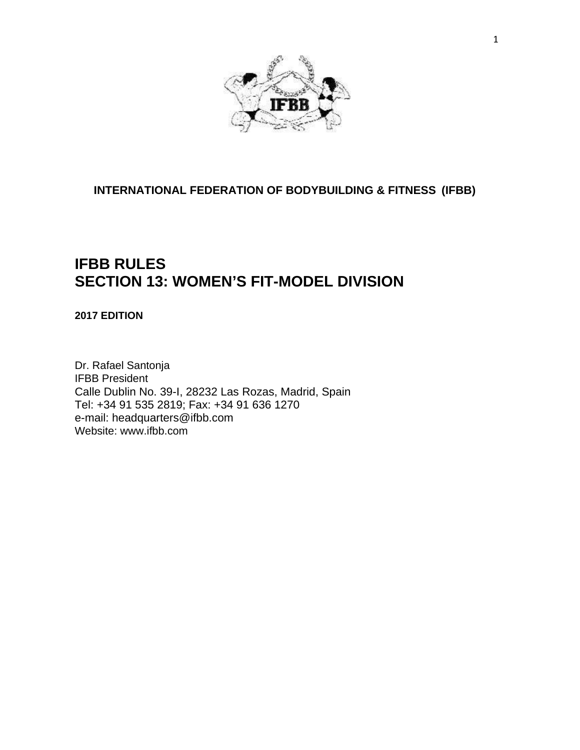

**INTERNATIONAL FEDERATION OF BODYBUILDING & FITNESS (IFBB)**

## **IFBB RULES SECTION 13: WOMEN'S FIT-MODEL DIVISION**

**2017 EDITION**

Dr. Rafael Santonja IFBB President Calle Dublin No. 39-I, 28232 Las Rozas, Madrid, Spain Tel: +34 91 535 2819; Fax: +34 91 636 1270 e-mail: [headquarters@ifbb.com](mailto:headquarters@ifbb.com) Website: [www.ifbb.com](http://www.ifbb.com/)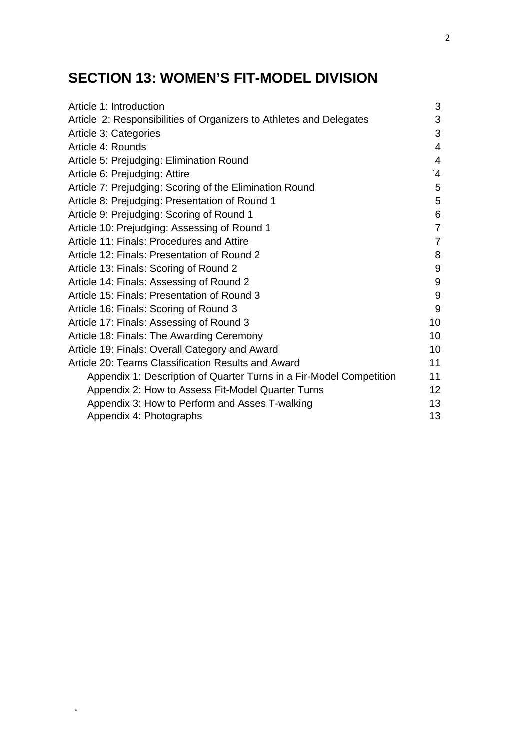# **SECTION 13: WOMEN'S FIT-MODEL DIVISION**

| Article 1: Introduction                                             | 3                     |
|---------------------------------------------------------------------|-----------------------|
| Article 2: Responsibilities of Organizers to Athletes and Delegates | 3                     |
| Article 3: Categories                                               | 3                     |
| Article 4: Rounds                                                   | $\overline{4}$        |
| Article 5: Prejudging: Elimination Round                            | 4                     |
| Article 6: Prejudging: Attire                                       | $\mathbf{A}^{\prime}$ |
| Article 7: Prejudging: Scoring of the Elimination Round             | 5                     |
| Article 8: Prejudging: Presentation of Round 1                      | 5                     |
| Article 9: Prejudging: Scoring of Round 1                           | 6                     |
| Article 10: Prejudging: Assessing of Round 1                        | $\overline{7}$        |
| Article 11: Finals: Procedures and Attire                           | $\overline{7}$        |
| Article 12: Finals: Presentation of Round 2                         | 8                     |
| Article 13: Finals: Scoring of Round 2                              | 9                     |
| Article 14: Finals: Assessing of Round 2                            | 9                     |
| Article 15: Finals: Presentation of Round 3                         | 9                     |
| Article 16: Finals: Scoring of Round 3                              | 9                     |
| Article 17: Finals: Assessing of Round 3                            | 10                    |
| Article 18: Finals: The Awarding Ceremony                           | 10                    |
| Article 19: Finals: Overall Category and Award                      | 10                    |
| Article 20: Teams Classification Results and Award                  | 11                    |
| Appendix 1: Description of Quarter Turns in a Fir-Model Competition | 11                    |
| Appendix 2: How to Assess Fit-Model Quarter Turns                   | 12 <sup>2</sup>       |
| Appendix 3: How to Perform and Asses T-walking                      | 13                    |
| Appendix 4: Photographs                                             | 13                    |

.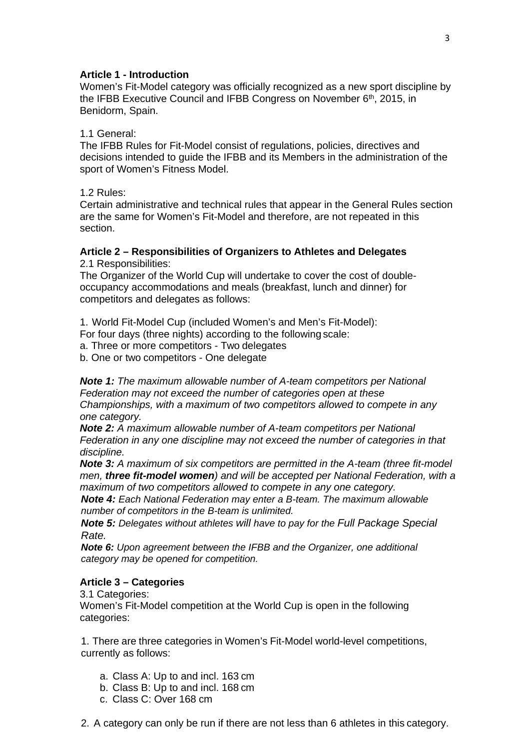## **Article 1 - Introduction**

Women's Fit-Model category was officially recognized as a new sport discipline by the IFBB Executive Council and IFBB Congress on November 6<sup>th</sup>, 2015, in Benidorm, Spain.

## 1.1 General:

The IFBB Rules for Fit-Model consist of regulations, policies, directives and decisions intended to guide the IFBB and its Members in the administration of the sport of Women's Fitness Model.

1.2 Rules:

Certain administrative and technical rules that appear in the General Rules section are the same for Women's Fit-Model and therefore, are not repeated in this section.

#### **Article 2 – Responsibilities of Organizers to Athletes and Delegates** 2.1 Responsibilities:

The Organizer of the World Cup will undertake to cover the cost of doubleoccupancy accommodations and meals (breakfast, lunch and dinner) for competitors and delegates as follows:

1. World Fit-Model Cup (included Women's and Men's Fit-Model):

For four days (three nights) according to the following scale:

a. Three or more competitors - Two delegates

b. One or two competitors - One delegate

*Note 1: The maximum allowable number of A-team competitors per National Federation may not exceed the number of categories open at these Championships, with a maximum of two competitors allowed to compete in any one category.*

*Note 2: A maximum allowable number of A-team competitors per National Federation in any one discipline may not exceed the number of categories in that discipline.*

*Note 3: A maximum of six competitors are permitted in the A-team (three fit-model men, three fit-model women) and will be accepted per National Federation, with a maximum of two competitors allowed to compete in any one category.*

*Note 4: Each National Federation may enter a B-team. The maximum allowable number of competitors in the B-team is unlimited.*

*Note 5: Delegates without athletes will have to pay for the Full Package Special Rate.*

*Note 6: Upon agreement between the IFBB and the Organizer, one additional category may be opened for competition.*

## **Article 3 – Categories**

3.1 Categories:

Women's Fit-Model competition at the World Cup is open in the following categories:

1. There are three categories in Women's Fit-Model world-level competitions, currently as follows:

- a. Class A: Up to and incl. 163 cm
- b. Class B: Up to and incl. 168 cm
- c. Class C: Over 168 cm

2. A category can only be run if there are not less than 6 athletes in this category.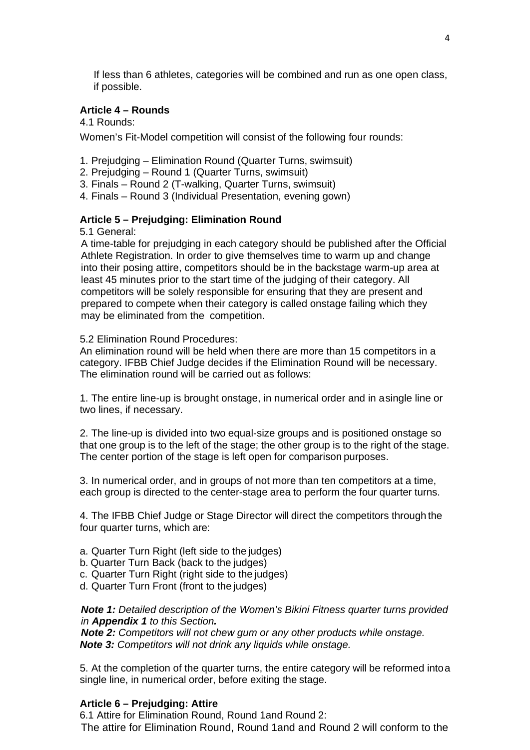If less than 6 athletes, categories will be combined and run as one open class, if possible.

#### **Article 4 – Rounds**

4.1 Rounds:

Women's Fit-Model competition will consist of the following four rounds:

- 1. Prejudging Elimination Round (Quarter Turns, swimsuit)
- 2. Prejudging Round 1 (Quarter Turns, swimsuit)
- 3. Finals Round 2 (T-walking, Quarter Turns, swimsuit)
- 4. Finals Round 3 (Individual Presentation, evening gown)

#### **Article 5 – Prejudging: Elimination Round**

5.1 General:

A time-table for prejudging in each category should be published after the Official Athlete Registration. In order to give themselves time to warm up and change into their posing attire, competitors should be in the backstage warm-up area at least 45 minutes prior to the start time of the judging of their category. All competitors will be solely responsible for ensuring that they are present and prepared to compete when their category is called onstage failing which they may be eliminated from the competition.

5.2 Elimination Round Procedures:

An elimination round will be held when there are more than 15 competitors in a category. IFBB Chief Judge decides if the Elimination Round will be necessary. The elimination round will be carried out as follows:

1. The entire line-up is brought onstage, in numerical order and in asingle line or two lines, if necessary.

2. The line-up is divided into two equal-size groups and is positioned onstage so that one group is to the left of the stage; the other group is to the right of the stage. The center portion of the stage is left open for comparison purposes.

3. In numerical order, and in groups of not more than ten competitors at a time, each group is directed to the center-stage area to perform the four quarter turns.

4. The IFBB Chief Judge or Stage Director will direct the competitors through the four quarter turns, which are:

- a. Quarter Turn Right (left side to the judges)
- b. Quarter Turn Back (back to the judges)
- c. Quarter Turn Right (right side to the judges)
- d. Quarter Turn Front (front to the judges)

*Note 1: Detailed description of the Women's Bikini Fitness quarter turns provided in Appendix 1 to this Section.*

*Note 2: Competitors will not chew gum or any other products while onstage. Note 3: Competitors will not drink any liquids while onstage.*

5. At the completion of the quarter turns, the entire category will be reformed intoa single line, in numerical order, before exiting the stage.

#### **Article 6 – Prejudging: Attire**

6.1 Attire for Elimination Round, Round 1and Round 2: The attire for Elimination Round, Round 1and and Round 2 will conform to the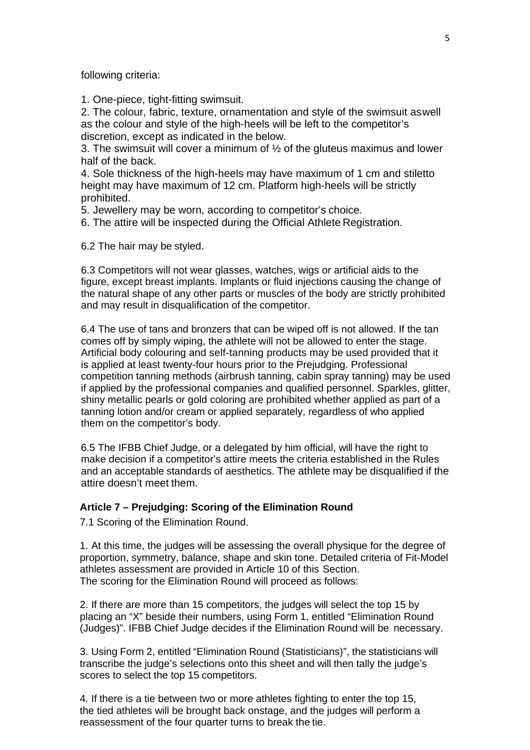following criteria:

1. One-piece, tight-fitting swimsuit.

2. The colour, fabric, texture, ornamentation and style of the swimsuit aswell as the colour and style of the high-heels will be left to the competitor's discretion, except as indicated in the below.

3. The swimsuit will cover a minimum of  $\frac{1}{2}$  of the gluteus maximus and lower half of the back.

4. Sole thickness of the high-heels may have maximum of 1 cm and stiletto height may have maximum of 12 cm. Platform high-heels will be strictly prohibited.

5. Jewellery may be worn, according to competitor's choice.

6. The attire will be inspected during the Official Athlete Registration.

6.2 The hair may be styled.

6.3 Competitors will not wear glasses, watches, wigs or artificial aids to the figure, except breast implants. Implants or fluid injections causing the change of the natural shape of any other parts or muscles of the body are strictly prohibited and may result in disqualification of the competitor.

6.4 The use of tans and bronzers that can be wiped off is not allowed. If the tan comes off by simply wiping, the athlete will not be allowed to enter the stage. Artificial body colouring and self-tanning products may be used provided that it is applied at least twenty-four hours prior to the Prejudging. Professional competition tanning methods (airbrush tanning, cabin spray tanning) may be used if applied by the professional companies and qualified personnel. Sparkles, glitter, shiny metallic pearls or gold coloring are prohibited whether applied as part of a tanning lotion and/or cream or applied separately, regardless of who applied them on the competitor's body.

6.5 The IFBB Chief Judge, or a delegated by him official, will have the right to make decision if a competitor's attire meets the criteria established in the Rules and an acceptable standards of aesthetics. The athlete may be disqualified if the attire doesn't meet them.

#### **Article 7 – Prejudging: Scoring of the Elimination Round**

7.1 Scoring of the Elimination Round.

1. At this time, the judges will be assessing the overall physique for the degree of proportion, symmetry, balance, shape and skin tone. Detailed criteria of Fit-Model athletes assessment are provided in Article 10 of this Section. The scoring for the Elimination Round will proceed as follows:

2. If there are more than 15 competitors, the judges will select the top 15 by placing an "X" beside their numbers, using Form 1, entitled "Elimination Round (Judges)". IFBB Chief Judge decides if the Elimination Round will be necessary.

3. Using Form 2, entitled "Elimination Round (Statisticians)", the statisticians will transcribe the judge's selections onto this sheet and will then tally the judge's scores to select the top 15 competitors.

4. If there is a tie between two or more athletes fighting to enter the top 15, the tied athletes will be brought back onstage, and the judges will perform a reassessment of the four quarter turns to break the tie.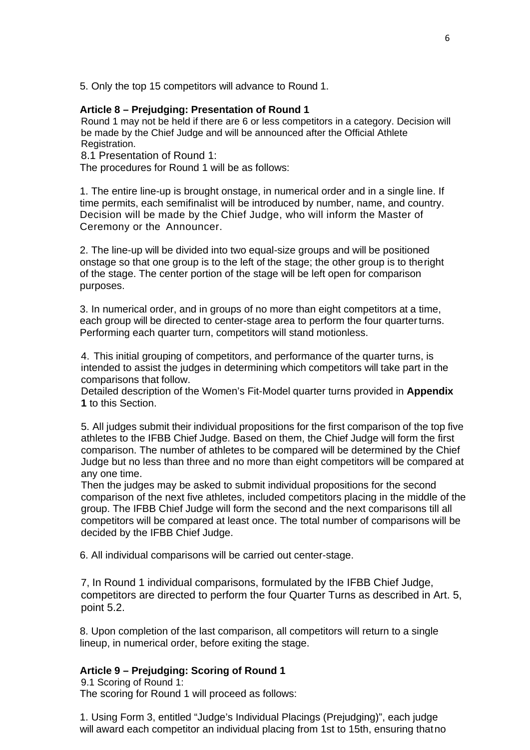5. Only the top 15 competitors will advance to Round 1.

## **Article 8 – Prejudging: Presentation of Round 1**

Round 1 may not be held if there are 6 or less competitors in a category. Decision will be made by the Chief Judge and will be announced after the Official Athlete Registration.

8.1 Presentation of Round 1:

The procedures for Round 1 will be as follows:

1. The entire line-up is brought onstage, in numerical order and in a single line. If time permits, each semifinalist will be introduced by number, name, and country. Decision will be made by the Chief Judge, who will inform the Master of Ceremony or the Announcer.

2. The line-up will be divided into two equal-size groups and will be positioned onstage so that one group is to the left of the stage; the other group is to theright of the stage. The center portion of the stage will be left open for comparison purposes.

3. In numerical order, and in groups of no more than eight competitors at a time, each group will be directed to center-stage area to perform the four quarter turns. Performing each quarter turn, competitors will stand motionless.

4. This initial grouping of competitors, and performance of the quarter turns, is intended to assist the judges in determining which competitors will take part in the comparisons that follow.

Detailed description of the Women's Fit-Model quarter turns provided in **Appendix 1** to this Section.

5. All judges submit their individual propositions for the first comparison of the top five athletes to the IFBB Chief Judge. Based on them, the Chief Judge will form the first comparison. The number of athletes to be compared will be determined by the Chief Judge but no less than three and no more than eight competitors will be compared at any one time.

Then the judges may be asked to submit individual propositions for the second comparison of the next five athletes, included competitors placing in the middle of the group. The IFBB Chief Judge will form the second and the next comparisons till all competitors will be compared at least once. The total number of comparisons will be decided by the IFBB Chief Judge.

6. All individual comparisons will be carried out center-stage.

7, In Round 1 individual comparisons, formulated by the IFBB Chief Judge, competitors are directed to perform the four Quarter Turns as described in Art. 5, point 5.2.

8. Upon completion of the last comparison, all competitors will return to a single lineup, in numerical order, before exiting the stage.

## **Article 9 – Prejudging: Scoring of Round 1**

9.1 Scoring of Round 1: The scoring for Round 1 will proceed as follows:

1. Using Form 3, entitled "Judge's Individual Placings (Prejudging)", each judge will award each competitor an individual placing from 1st to 15th, ensuring thatno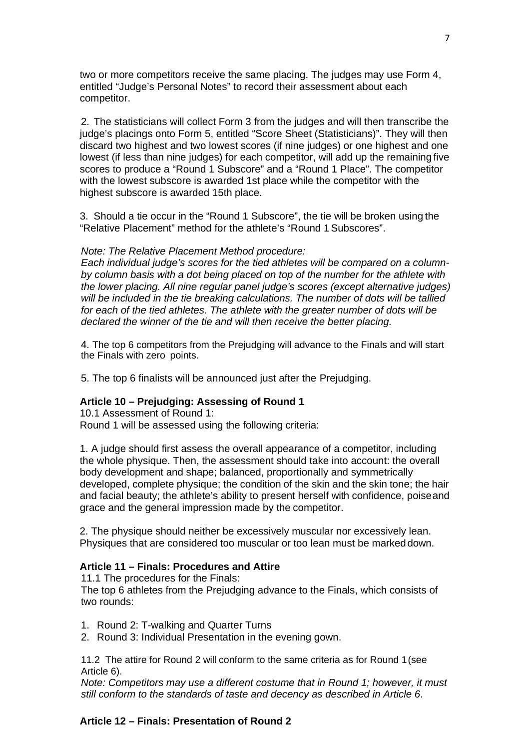two or more competitors receive the same placing. The judges may use Form 4, entitled "Judge's Personal Notes" to record their assessment about each competitor.

2. The statisticians will collect Form 3 from the judges and will then transcribe the judge's placings onto Form 5, entitled "Score Sheet (Statisticians)". They will then discard two highest and two lowest scores (if nine judges) or one highest and one lowest (if less than nine judges) for each competitor, will add up the remaining five scores to produce a "Round 1 Subscore" and a "Round 1 Place". The competitor with the lowest subscore is awarded 1st place while the competitor with the highest subscore is awarded 15th place.

3. Should a tie occur in the "Round 1 Subscore", the tie will be broken using the "Relative Placement" method for the athlete's "Round 1Subscores".

#### *Note: The Relative Placement Method procedure:*

*Each individual judge's scores for the tied athletes will be compared on a columnby column basis with a dot being placed on top of the number for the athlete with the lower placing. All nine regular panel judge's scores (except alternative judges) will be included in the tie breaking calculations. The number of dots will be tallied for each of the tied athletes. The athlete with the greater number of dots will be declared the winner of the tie and will then receive the better placing.*

4. The top 6 competitors from the Prejudging will advance to the Finals and will start the Finals with zero points.

5. The top 6 finalists will be announced just after the Prejudging.

## **Article 10 – Prejudging: Assessing of Round 1**

10.1 Assessment of Round 1: Round 1 will be assessed using the following criteria:

1. A judge should first assess the overall appearance of a competitor, including the whole physique. Then, the assessment should take into account: the overall body development and shape; balanced, proportionally and symmetrically developed, complete physique; the condition of the skin and the skin tone; the hair and facial beauty; the athlete's ability to present herself with confidence, poiseand grace and the general impression made by the competitor.

2. The physique should neither be excessively muscular nor excessively lean. Physiques that are considered too muscular or too lean must be markeddown.

#### **Article 11 – Finals: Procedures and Attire**

11.1 The procedures for the Finals:

The top 6 athletes from the Prejudging advance to the Finals, which consists of two rounds:

- 1. Round 2: T-walking and Quarter Turns
- 2. Round 3: Individual Presentation in the evening gown.

11.2 The attire for Round 2 will conform to the same criteria as for Round 1(see Article 6).

*Note: Competitors may use a different costume that in Round 1; however, it must still conform to the standards of taste and decency as described in Article 6*.

## **Article 12 – Finals: Presentation of Round 2**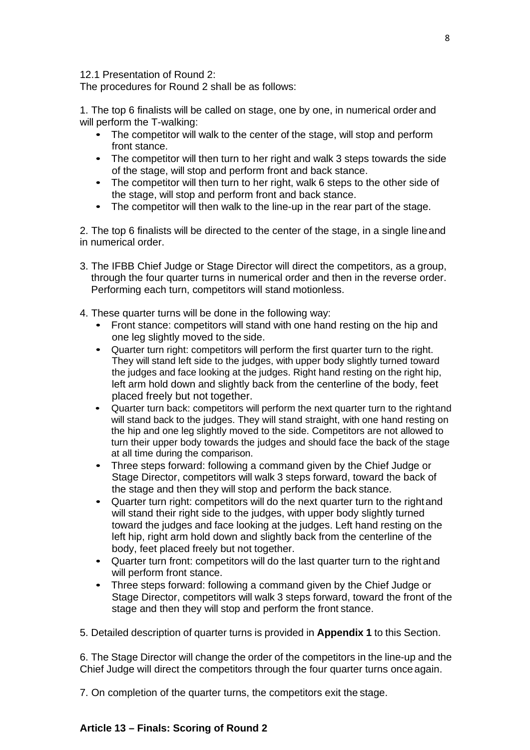12.1 Presentation of Round 2:

The procedures for Round 2 shall be as follows:

1. The top 6 finalists will be called on stage, one by one, in numerical order and will perform the T-walking:

- The competitor will walk to the center of the stage, will stop and perform front stance.
- The competitor will then turn to her right and walk 3 steps towards the side of the stage, will stop and perform front and back stance.
- The competitor will then turn to her right, walk 6 steps to the other side of the stage, will stop and perform front and back stance.
- The competitor will then walk to the line-up in the rear part of the stage.

2. The top 6 finalists will be directed to the center of the stage, in a single lineand in numerical order.

- 3. The IFBB Chief Judge or Stage Director will direct the competitors, as a group, through the four quarter turns in numerical order and then in the reverse order. Performing each turn, competitors will stand motionless.
- 4. These quarter turns will be done in the following way:
	- Front stance: competitors will stand with one hand resting on the hip and one leg slightly moved to the side.
	- Quarter turn right: competitors will perform the first quarter turn to the right. They will stand left side to the judges, with upper body slightly turned toward the judges and face looking at the judges. Right hand resting on the right hip, left arm hold down and slightly back from the centerline of the body, feet placed freely but not together.
	- Quarter turn back: competitors will perform the next quarter turn to the rightand will stand back to the judges. They will stand straight, with one hand resting on the hip and one leg slightly moved to the side. Competitors are not allowed to turn their upper body towards the judges and should face the back of the stage at all time during the comparison.
	- Three steps forward: following a command given by the Chief Judge or Stage Director, competitors will walk 3 steps forward, toward the back of the stage and then they will stop and perform the back stance.
	- Quarter turn right: competitors will do the next quarter turn to the rightand will stand their right side to the judges, with upper body slightly turned toward the judges and face looking at the judges. Left hand resting on the left hip, right arm hold down and slightly back from the centerline of the body, feet placed freely but not together.
	- Quarter turn front: competitors will do the last quarter turn to the right and will perform front stance.
	- Three steps forward: following a command given by the Chief Judge or Stage Director, competitors will walk 3 steps forward, toward the front of the stage and then they will stop and perform the front stance.
- 5. Detailed description of quarter turns is provided in **Appendix 1** to this Section.

6. The Stage Director will change the order of the competitors in the line-up and the Chief Judge will direct the competitors through the four quarter turns once again.

7. On completion of the quarter turns, the competitors exit the stage.

## **Article 13 – Finals: Scoring of Round 2**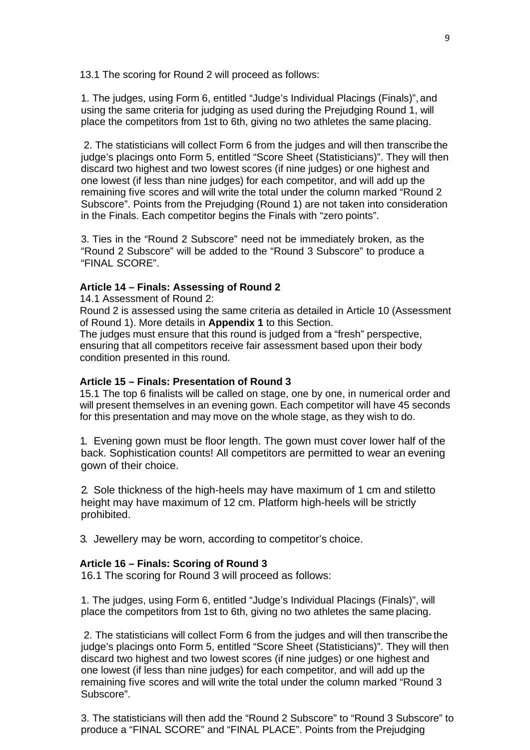13.1 The scoring for Round 2 will proceed as follows:

1. The judges, using Form 6, entitled "Judge's Individual Placings (Finals)", and using the same criteria for judging as used during the Prejudging Round 1, will place the competitors from 1st to 6th, giving no two athletes the same placing.

2. The statisticians will collect Form 6 from the judges and will then transcribe the judge's placings onto Form 5, entitled "Score Sheet (Statisticians)". They will then discard two highest and two lowest scores (if nine judges) or one highest and one lowest (if less than nine judges) for each competitor, and will add up the remaining five scores and will write the total under the column marked "Round 2 Subscore". Points from the Prejudging (Round 1) are not taken into consideration in the Finals. Each competitor begins the Finals with "zero points".

3. Ties in the "Round 2 Subscore" need not be immediately broken, as the "Round 2 Subscore" will be added to the "Round 3 Subscore" to produce a "FINAL SCORE".

#### **Article 14 – Finals: Assessing of Round 2**

14.1 Assessment of Round 2:

Round 2 is assessed using the same criteria as detailed in Article 10 (Assessment of Round 1). More details in **Appendix 1** to this Section.

The judges must ensure that this round is judged from a "fresh" perspective, ensuring that all competitors receive fair assessment based upon their body condition presented in this round.

#### **Article 15 – Finals: Presentation of Round 3**

15.1 The top 6 finalists will be called on stage, one by one, in numerical order and will present themselves in an evening gown. Each competitor will have 45 seconds for this presentation and may move on the whole stage, as they wish to do.

1. Evening gown must be floor length. The gown must cover lower half of the back. Sophistication counts! All competitors are permitted to wear an evening gown of their choice.

2. Sole thickness of the high-heels may have maximum of 1 cm and stiletto height may have maximum of 12 cm. Platform high-heels will be strictly prohibited.

3. Jewellery may be worn, according to competitor's choice.

#### **Article 16 – Finals: Scoring of Round 3**

16.1 The scoring for Round 3 will proceed as follows:

1. The judges, using Form 6, entitled "Judge's Individual Placings (Finals)", will place the competitors from 1st to 6th, giving no two athletes the same placing.

2. The statisticians will collect Form 6 from the judges and will then transcribe the judge's placings onto Form 5, entitled "Score Sheet (Statisticians)". They will then discard two highest and two lowest scores (if nine judges) or one highest and one lowest (if less than nine judges) for each competitor, and will add up the remaining five scores and will write the total under the column marked "Round 3 Subscore".

3. The statisticians will then add the "Round 2 Subscore" to "Round 3 Subscore" to produce a "FINAL SCORE" and "FINAL PLACE". Points from the Prejudging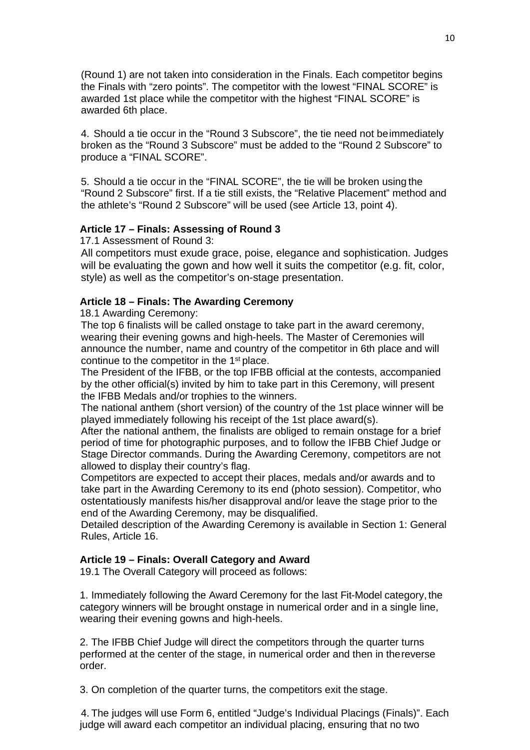(Round 1) are not taken into consideration in the Finals. Each competitor begins the Finals with "zero points". The competitor with the lowest "FINAL SCORE" is awarded 1st place while the competitor with the highest "FINAL SCORE" is awarded 6th place.

4. Should a tie occur in the "Round 3 Subscore", the tie need not beimmediately broken as the "Round 3 Subscore" must be added to the "Round 2 Subscore" to produce a "FINAL SCORE".

5. Should a tie occur in the "FINAL SCORE", the tie will be broken using the "Round 2 Subscore" first. If a tie still exists, the "Relative Placement" method and the athlete's "Round 2 Subscore" will be used (see Article 13, point 4).

#### **Article 17 – Finals: Assessing of Round 3**

17.1 Assessment of Round 3:

All competitors must exude grace, poise, elegance and sophistication. Judges will be evaluating the gown and how well it suits the competitor (e.g. fit, color, style) as well as the competitor's on-stage presentation.

## **Article 18 – Finals: The Awarding Ceremony**

18.1 Awarding Ceremony:

The top 6 finalists will be called onstage to take part in the award ceremony, wearing their evening gowns and high-heels. The Master of Ceremonies will announce the number, name and country of the competitor in 6th place and will continue to the competitor in the 1<sup>st</sup> place.

The President of the IFBB, or the top IFBB official at the contests, accompanied by the other official(s) invited by him to take part in this Ceremony, will present the IFBB Medals and/or trophies to the winners.

The national anthem (short version) of the country of the 1st place winner will be played immediately following his receipt of the 1st place award(s).

After the national anthem, the finalists are obliged to remain onstage for a brief period of time for photographic purposes, and to follow the IFBB Chief Judge or Stage Director commands. During the Awarding Ceremony, competitors are not allowed to display their country's flag.

Competitors are expected to accept their places, medals and/or awards and to take part in the Awarding Ceremony to its end (photo session). Competitor, who ostentatiously manifests his/her disapproval and/or leave the stage prior to the end of the Awarding Ceremony, may be disqualified.

Detailed description of the Awarding Ceremony is available in Section 1: General Rules, Article 16.

#### **Article 19 – Finals: Overall Category and Award**

19.1 The Overall Category will proceed as follows:

1. Immediately following the Award Ceremony for the last Fit-Model category, the category winners will be brought onstage in numerical order and in a single line, wearing their evening gowns and high-heels.

2. The IFBB Chief Judge will direct the competitors through the quarter turns performed at the center of the stage, in numerical order and then in thereverse order.

3. On completion of the quarter turns, the competitors exit the stage.

4. The judges will use Form 6, entitled "Judge's Individual Placings (Finals)". Each judge will award each competitor an individual placing, ensuring that no two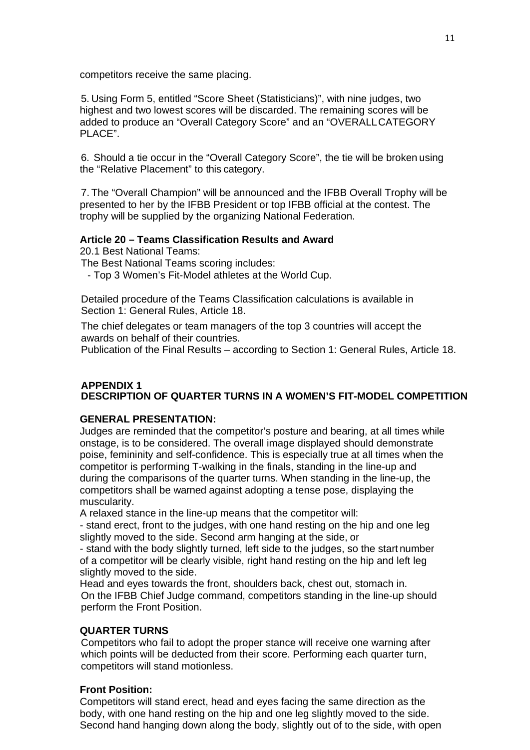competitors receive the same placing.

5. Using Form 5, entitled "Score Sheet (Statisticians)", with nine judges, two highest and two lowest scores will be discarded. The remaining scores will be added to produce an "Overall Category Score" and an "OVERALLCATEGORY PLACE".

6. Should a tie occur in the "Overall Category Score", the tie will be broken using the "Relative Placement" to this category.

7. The "Overall Champion" will be announced and the IFBB Overall Trophy will be presented to her by the IFBB President or top IFBB official at the contest. The trophy will be supplied by the organizing National Federation.

## **Article 20 – Teams Classification Results and Award**

20.1 Best National Teams:

The Best National Teams scoring includes:

- Top 3 Women's Fit-Model athletes at the World Cup.

Detailed procedure of the Teams Classification calculations is available in Section 1: General Rules, Article 18.

The chief delegates or team managers of the top 3 countries will accept the awards on behalf of their countries.

Publication of the Final Results – according to Section 1: General Rules, Article 18.

## **APPENDIX 1 DESCRIPTION OF QUARTER TURNS IN A WOMEN'S FIT-MODEL COMPETITION**

## **GENERAL PRESENTATION:**

Judges are reminded that the competitor's posture and bearing, at all times while onstage, is to be considered. The overall image displayed should demonstrate poise, femininity and self-confidence. This is especially true at all times when the competitor is performing T-walking in the finals, standing in the line-up and during the comparisons of the quarter turns. When standing in the line-up, the competitors shall be warned against adopting a tense pose, displaying the muscularity.

A relaxed stance in the line-up means that the competitor will:

- stand erect, front to the judges, with one hand resting on the hip and one leg slightly moved to the side. Second arm hanging at the side, or

- stand with the body slightly turned, left side to the judges, so the start number of a competitor will be clearly visible, right hand resting on the hip and left leg slightly moved to the side.

Head and eyes towards the front, shoulders back, chest out, stomach in. On the IFBB Chief Judge command, competitors standing in the line-up should perform the Front Position.

## **QUARTER TURNS**

Competitors who fail to adopt the proper stance will receive one warning after which points will be deducted from their score. Performing each quarter turn, competitors will stand motionless.

## **Front Position:**

Competitors will stand erect, head and eyes facing the same direction as the body, with one hand resting on the hip and one leg slightly moved to the side. Second hand hanging down along the body, slightly out of to the side, with open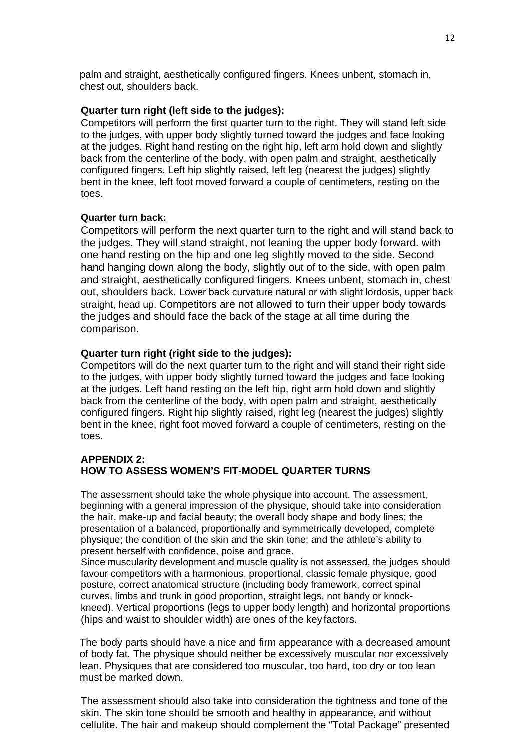palm and straight, aesthetically configured fingers. Knees unbent, stomach in, chest out, shoulders back.

#### **Quarter turn right (left side to the judges):**

Competitors will perform the first quarter turn to the right. They will stand left side to the judges, with upper body slightly turned toward the judges and face looking at the judges. Right hand resting on the right hip, left arm hold down and slightly back from the centerline of the body, with open palm and straight, aesthetically configured fingers. Left hip slightly raised, left leg (nearest the judges) slightly bent in the knee, left foot moved forward a couple of centimeters, resting on the toes.

#### **Quarter turn back:**

Competitors will perform the next quarter turn to the right and will stand back to the judges. They will stand straight, not leaning the upper body forward. with one hand resting on the hip and one leg slightly moved to the side. Second hand hanging down along the body, slightly out of to the side, with open palm and straight, aesthetically configured fingers. Knees unbent, stomach in, chest out, shoulders back. Lower back curvature natural or with slight lordosis, upper back straight, head up. Competitors are not allowed to turn their upper body towards the judges and should face the back of the stage at all time during the comparison.

#### **Quarter turn right (right side to the judges):**

Competitors will do the next quarter turn to the right and will stand their right side to the judges, with upper body slightly turned toward the judges and face looking at the judges. Left hand resting on the left hip, right arm hold down and slightly back from the centerline of the body, with open palm and straight, aesthetically configured fingers. Right hip slightly raised, right leg (nearest the judges) slightly bent in the knee, right foot moved forward a couple of centimeters, resting on the toes.

#### **APPENDIX 2: HOW TO ASSESS WOMEN'S FIT-MODEL QUARTER TURNS**

The assessment should take the whole physique into account. The assessment, beginning with a general impression of the physique, should take into consideration the hair, make-up and facial beauty; the overall body shape and body lines; the presentation of a balanced, proportionally and symmetrically developed, complete physique; the condition of the skin and the skin tone; and the athlete's ability to present herself with confidence, poise and grace.

Since muscularity development and muscle quality is not assessed, the judges should favour competitors with a harmonious, proportional, classic female physique, good posture, correct anatomical structure (including body framework, correct spinal curves, limbs and trunk in good proportion, straight legs, not bandy or knockkneed). Vertical proportions (legs to upper body length) and horizontal proportions (hips and waist to shoulder width) are ones of the keyfactors.

The body parts should have a nice and firm appearance with a decreased amount of body fat. The physique should neither be excessively muscular nor excessively lean. Physiques that are considered too muscular, too hard, too dry or too lean must be marked down.

The assessment should also take into consideration the tightness and tone of the skin. The skin tone should be smooth and healthy in appearance, and without cellulite. The hair and makeup should complement the "Total Package" presented